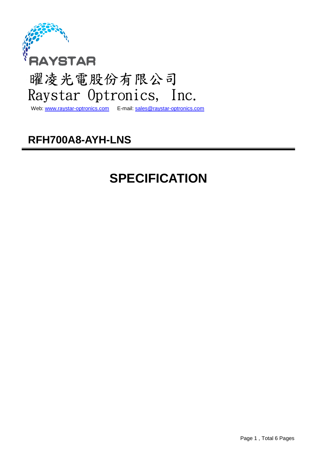

## 曜凌光電股份有限公司 Raystar Optronics, Inc.

Web: www.raystar-optronics.com E-mail: sales@raystar-optronics.com

### **RFH700A8-AYH-LNS**

### **SPECIFICATION**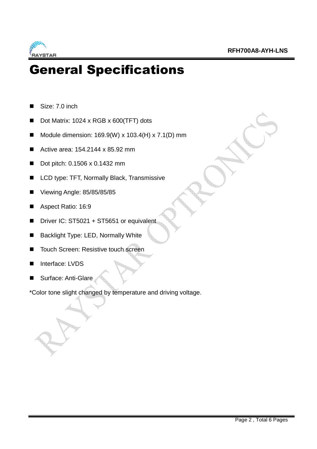

### General Specifications

- Size: 7.0 inch
- Dot Matrix: 1024 x RGB x 600(TFT) dots
- Module dimension:  $169.9(W) \times 103.4(H) \times 7.1(D)$  mm
- Active area: 154.2144 x 85.92 mm
- Dot pitch: 0.1506 x 0.1432 mm
- LCD type: TFT, Normally Black, Transmissive
- Viewing Angle: 85/85/85/85
- Aspect Ratio: 16:9
- Driver IC: ST5021 + ST5651 or equivalent
- Backlight Type: LED, Normally White
- Touch Screen: Resistive touch screen
- Interface: LVDS
- Surface: Anti-Glare

\*Color tone slight changed by temperature and driving voltage.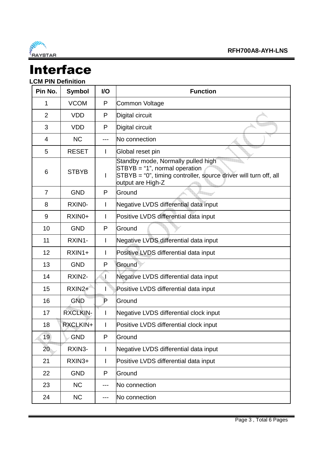

## Interface

### **LCM PIN Definition**

| Pin No.        | <b>Symbol</b>   | I/O          | <b>Function</b>                                                                                                                                                |  |  |
|----------------|-----------------|--------------|----------------------------------------------------------------------------------------------------------------------------------------------------------------|--|--|
| 1              | <b>VCOM</b>     | P            | Common Voltage                                                                                                                                                 |  |  |
| $\overline{2}$ | <b>VDD</b>      | P            | Digital circuit                                                                                                                                                |  |  |
| 3              | <b>VDD</b>      | P            | Digital circuit                                                                                                                                                |  |  |
| $\overline{4}$ | <b>NC</b>       | ---          | No connection                                                                                                                                                  |  |  |
| 5              | <b>RESET</b>    | I            | Global reset pin                                                                                                                                               |  |  |
| 6              | <b>STBYB</b>    | I            | Standby mode, Normally pulled high<br>$STBYB = "1", normal operation$<br>STBYB = "0", timing controller, source driver will turn off, all<br>output are High-Z |  |  |
| $\overline{7}$ | <b>GND</b>      | P            | Ground                                                                                                                                                         |  |  |
| 8              | RXINO-          | I            | Negative LVDS differential data input                                                                                                                          |  |  |
| 9              | RXIN0+          | I            | Positive LVDS differential data input                                                                                                                          |  |  |
| 10             | <b>GND</b>      | P            | Ground                                                                                                                                                         |  |  |
| 11             | RXIN1-          | I            | Negative LVDS differential data input                                                                                                                          |  |  |
| 12             | RXIN1+          | I            | Positive LVDS differential data input                                                                                                                          |  |  |
| 13             | <b>GND</b>      | P            | Ground                                                                                                                                                         |  |  |
| 14             | RXIN2-          |              | Negative LVDS differential data input                                                                                                                          |  |  |
| 15             | RXIN2+          |              | Positive LVDS differential data input                                                                                                                          |  |  |
| 16             | <b>GND</b>      | $\mathsf{P}$ | Ground                                                                                                                                                         |  |  |
| 17             | <b>RXCLKIN-</b> |              | Negative LVDS differential clock input                                                                                                                         |  |  |
| 18             | RXCLKIN+        |              | Positive LVDS differential clock input                                                                                                                         |  |  |
| 19             | <b>GND</b>      | P            | Ground                                                                                                                                                         |  |  |
| 20             | RXIN3-          | I            | Negative LVDS differential data input                                                                                                                          |  |  |
| 21             | RXIN3+          | I            | Positive LVDS differential data input                                                                                                                          |  |  |
| 22             | <b>GND</b>      | P            | Ground                                                                                                                                                         |  |  |
| 23             | <b>NC</b>       | ---          | No connection                                                                                                                                                  |  |  |
| 24             | <b>NC</b>       | ---          | No connection                                                                                                                                                  |  |  |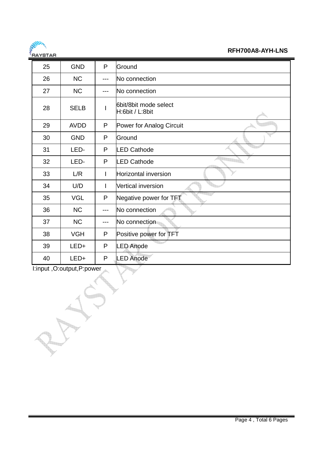

**RFH700A8-AYH-LNS** 

| 25 | <b>GND</b>  | P            | Ground                                   |
|----|-------------|--------------|------------------------------------------|
| 26 | <b>NC</b>   | ---          | No connection                            |
| 27 | <b>NC</b>   | ---          | No connection                            |
| 28 | <b>SELB</b> |              | 6bit/8bit mode select<br>H:6bit / L:8bit |
| 29 | <b>AVDD</b> | P            | Power for Analog Circuit                 |
| 30 | <b>GND</b>  | P            | Ground                                   |
| 31 | LED-        | P            | <b>LED Cathode</b>                       |
| 32 | LED-        | P            | <b>LED Cathode</b>                       |
| 33 | L/R         | $\mathsf{l}$ | <b>Horizontal inversion</b>              |
| 34 | U/D         | L            | <b>Vertical inversion</b>                |
| 35 | <b>VGL</b>  | P            | Negative power for TFT                   |
| 36 | <b>NC</b>   | $---$        | No connection                            |
| 37 | <b>NC</b>   | ---          | No connection                            |
| 38 | <b>VGH</b>  | P            | Positive power for TFT                   |
| 39 | LED+        | P            | <b>ED Anode</b>                          |
| 40 | LED+        | P            | <b>ED Anode</b>                          |

I:input ,O:output,P:power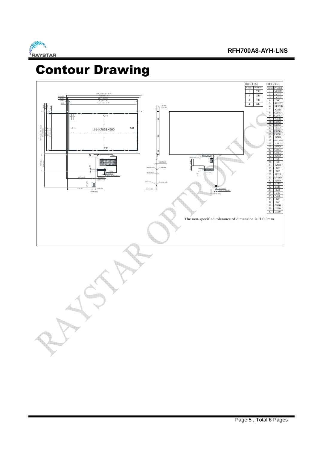

### Contour Drawing